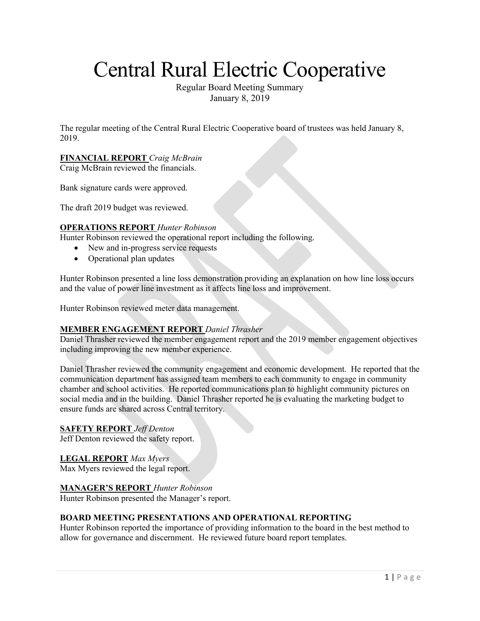# Central Rural Electric Cooperative

Regular Board Meeting Summary January 8, 2019

The regular meeting of the Central Rural Electric Cooperative board of trustees was held January 8, 2019.

# **FINANCIAL REPORT** *Craig McBrain*

Craig McBrain reviewed the financials.

Bank signature cards were approved.

The draft 2019 budget was reviewed.

# **OPERATIONS REPORT** *Hunter Robinson*

Hunter Robinson reviewed the operational report including the following.

- New and in-progress service requests
- Operational plan updates

Hunter Robinson presented a line loss demonstration providing an explanation on how line loss occurs and the value of power line investment as it affects line loss and improvement.

Hunter Robinson reviewed meter data management.

# **MEMBER ENGAGEMENT REPORT** *Daniel Thrasher*

Daniel Thrasher reviewed the member engagement report and the 2019 member engagement objectives including improving the new member experience.

Daniel Thrasher reviewed the community engagement and economic development. He reported that the communication department has assigned team members to each community to engage in community chamber and school activities. He reported communications plan to highlight community pictures on social media and in the building. Daniel Thrasher reported he is evaluating the marketing budget to ensure funds are shared across Central territory.

# **SAFETY REPORT** *Jeff Denton*

Jeff Denton reviewed the safety report.

# **LEGAL REPORT** *Max Myers*

Max Myers reviewed the legal report.

# **MANAGER'S REPORT** *Hunter Robinson*

Hunter Robinson presented the Manager's report.

# **BOARD MEETING PRESENTATIONS AND OPERATIONAL REPORTING**

Hunter Robinson reported the importance of providing information to the board in the best method to allow for governance and discernment. He reviewed future board report templates.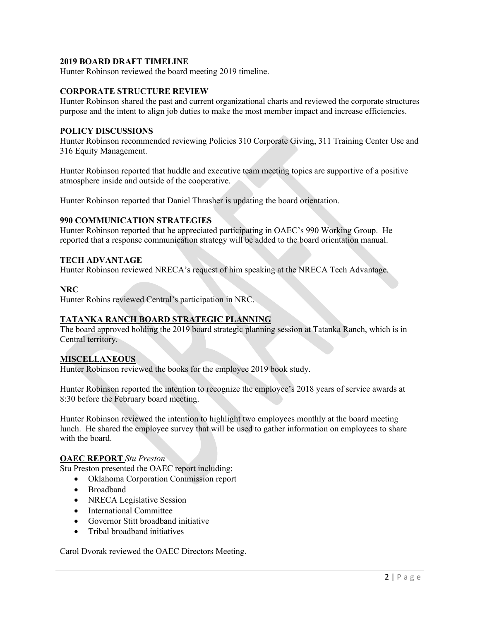# **2019 BOARD DRAFT TIMELINE**

Hunter Robinson reviewed the board meeting 2019 timeline.

#### **CORPORATE STRUCTURE REVIEW**

Hunter Robinson shared the past and current organizational charts and reviewed the corporate structures purpose and the intent to align job duties to make the most member impact and increase efficiencies.

#### **POLICY DISCUSSIONS**

Hunter Robinson recommended reviewing Policies 310 Corporate Giving, 311 Training Center Use and 316 Equity Management.

Hunter Robinson reported that huddle and executive team meeting topics are supportive of a positive atmosphere inside and outside of the cooperative.

Hunter Robinson reported that Daniel Thrasher is updating the board orientation.

# **990 COMMUNICATION STRATEGIES**

Hunter Robinson reported that he appreciated participating in OAEC's 990 Working Group. He reported that a response communication strategy will be added to the board orientation manual.

#### **TECH ADVANTAGE**

Hunter Robinson reviewed NRECA's request of him speaking at the NRECA Tech Advantage.

#### **NRC**

Hunter Robins reviewed Central's participation in NRC.

# **TATANKA RANCH BOARD STRATEGIC PLANNING**

The board approved holding the 2019 board strategic planning session at Tatanka Ranch, which is in Central territory.

# **MISCELLANEOUS**

Hunter Robinson reviewed the books for the employee 2019 book study.

Hunter Robinson reported the intention to recognize the employee's 2018 years of service awards at 8:30 before the February board meeting.

Hunter Robinson reviewed the intention to highlight two employees monthly at the board meeting lunch. He shared the employee survey that will be used to gather information on employees to share with the board.

#### **OAEC REPORT** *Stu Preston*

Stu Preston presented the OAEC report including:

- Oklahoma Corporation Commission report
- Broadband
- NRECA Legislative Session
- International Committee
- Governor Stitt broadband initiative
- Tribal broadband initiatives

Carol Dvorak reviewed the OAEC Directors Meeting.